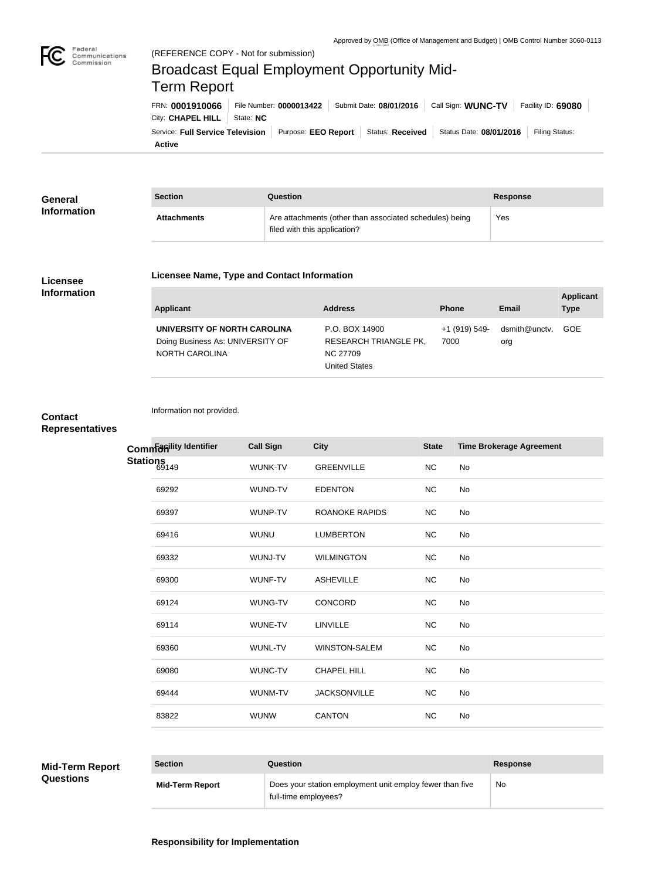

Federal

Commission

# City: **CHAPEL HILL** | State: NC FRN: **0001910066** File Number: **0000013422** Submit Date: **08/01/2016** Call Sign: **WUNC-TV** Facility ID: **69080** Broadcast Equal Employment Opportunity Mid-Term Report

**Active** Service: Full Service Television | Purpose: EEO Report | Status: Received | Status Date: 08/01/2016 | Filing Status:

| General<br><b>Information</b> | <b>Section</b>     | Question                                                                                | <b>Response</b> |  |
|-------------------------------|--------------------|-----------------------------------------------------------------------------------------|-----------------|--|
|                               | <b>Attachments</b> | Are attachments (other than associated schedules) being<br>filed with this application? | Yes.            |  |

## **Licensee Information**

### **Licensee Name, Type and Contact Information**

#### **Applicant Address Phone Email Applicant Type UNIVERSITY OF NORTH CAROLINA** Doing Business As: UNIVERSITY OF NORTH CAROLINA P.O. BOX 14900 RESEARCH TRIANGLE PK, NC 27709 United States +1 (919) 549- 7000 dsmith@unctv. org GOE

## **Contact Representatives**

Information not provided.

**Facil Sign City** City **City** State Time Brokerage Agreement WUNK-TV GREENVILLE NC No 69292 WUND-TV EDENTON NC No 69397 WUNP-TV ROANOKE RAPIDS NC No 69416 WUNU LUMBERTON NC No 69332 WUNJ-TV WILMINGTON NC No 69300 WUNF-TV ASHEVILLE NC No 69124 WUNG-TV CONCORD NC No 69114 WUNE-TV LINVILLE NC No 69360 WUNL-TV WINSTON-SALEM NC No 69080 WUNC-TV CHAPEL HILL NC No 69444 WUNM-TV JACKSONVILLE NC No 83822 WUNW CANTON NC No **Common**  *Common* **Common** Stations<sub>149</sub>

# **Mid-Term Report**

**Questions**

**Section Question Response Mid-Term Report** Does your station employment unit employ fewer than five full-time employees? No